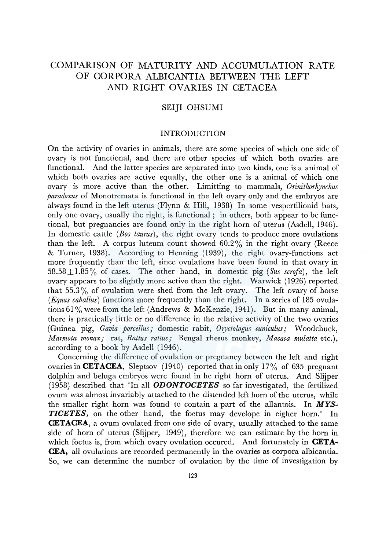# COMPARISON OF MATURITY AND ACCUMULATION RATE OF CORPORA ALBICANTIA BETWEEN THE LEFT AND RIGHT OVARIES IN CETACEA

## SEIJI OHSUMI

## INTRODUCTION

On the activity of ovaries in animals, there are some species of which one side of ovary is not functional, and there are other species of which both ovaries are functional. And the latter species are separated into two kinds, one is a animal of which both ovaries are active equally, the other one is a animal of which one ovary is more active than the other. Limitting to mammals, *Orinithorhynchus paradoxus* of Monotremata is functional in the left ovary only and the embryos are always found in the left uterus (Flynn & Hill, 1938) In some vespertilionid bats, only one ovary, usually the right, is functional; in others, both appear to be functional, but pregnancies are found only in the right horn of uterus (Asdell, 1946). In domestic cattle *(Bos taurus),* the right ovary tends to produce more ovulations than the left. A corpus luteum count showed  $60.2\%$  in the right ovary (Reece & Turner, 1938). According to Henning (1939), the right ovary-functions act more frequently than the left, since ovulations have been found in that ovary in 58.58 $\pm$ 1.85% of cases. The other hand, in domestic pig (*Sus scrofa*), the left ovary appears to be slightly more active than the right. Warwick (1926) reported that 55.3% of ovulation were shed from the left ovary. The left ovary of horse *(Eqnus caballus)* functions more frequently than the right. In a series of 185 ovulations 61% were from the left (Andrews & McKenzie, 1941). But in many animal, there is practically little or no difference in the relative activity of the two ovaries (Guinea pig, *Gavia porcellus;* domestic rabit, *Oryctologus cuniculus;* Woodchuck, *Marmota monax;* rat, *Rattus rattus;* Bengal rhesus monkey, *Macaca mulatta* etc.), according to a book by Asdell (1946).

Concerning the difference of ovulation or pregnancy between the left and right ovaries in **CETACEA**, Sleptsov (1940) reported that in only 17% of 635 pregnant dolphin and beluga embryos were found in he right horn of uterus. And Slijper (1958) described that 'In all *ODONTOCETES* so far investigated, the fertilized ovum was almost invariably attached to the distended left horn of the uterus, while the smaller right horn was found to contain a part of the allantois. In *MYS-TICETES,* on the other hand, the foetus may develope in eigher horn.' In **CETACEA,** a ovum ovulated from one side of ovary, usually attached to the same side of horn of uterus (Slijper, 1949), therefore we can estimate by the horn in which foetus is, from which ovary ovulation occured. And fortunately in **CETA-CEA,** all ovulations are recorded permanently in the ovaries as corpora albicantia. So, we can determine the number of ovulation by the time of investigation by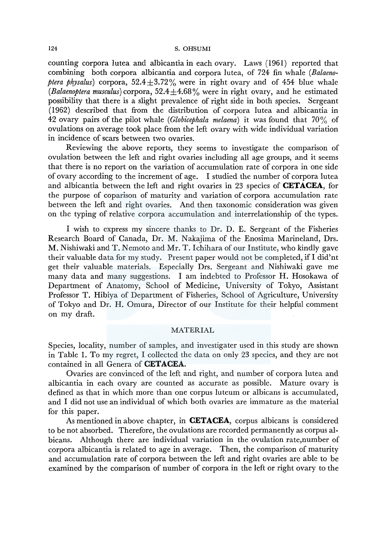counting corpora lutea and albicantia in each ovary. Laws (1961) reported that combining both corpora albicantia and corpora lutea, of 724 fin whale *(Balaenoptera physalus*) corpora,  $52.4 \pm 3.72\%$  were in right ovary and of 454 blue whale *(Balaenoptera musculus)* corpora, 52.4±4.68% were in right ovary, and he estimated possibility that there is a slight prevalence of right side in both species. Sergeant (1962) described that from the distribution of corpora lutea and albicantia in 42 ovary pairs of the pilot whale ( *Globicephala melaena)* it was found that 70 % of ovulations on average took place from the left ovary with wide individual variation in incidence of scars between two ovaries.

Reviewing the above reports, they seems to investigate the comparison of ovulation between the left and right ovaries including all age groups, and it seems that there is no report on the variation of accumulation rate of corpora in one side of ovary according to the increment of age. I studied the number of corpora lutea and albicantia between the left and right ovaries in 23 species of **CETACEA,** for the purpose of caparison of maturity and variation of corpora accumulation rate between the left and right ovaries. And then taxonomic consideration was given on the typing of relative corpora accumulation and interrelationship of the types.

I wish to express my sincere thanks to Dr. D. E. Sergeant of the Fisheries Research Board of Canada, Dr. M. Nakajima of the Enosima Marineland, Drs. M. Nishiwaki and T. Nemoto and Mr. T. Ichihara of our Institute, who kindly gave their valuable data for my study. Present paper would not be completed, ifl did'nt get their valuable materials. Especially Drs. Sergeant and Nishiwaki gave me many data and many suggestions. I am indebted to Professor H. Hosokawa of Department of Anatomy, School of Medicine, University of Tokyo, Assistant Professor T. Hibiya of Department of Fisheries, School of Agriculture, University of Tokyo and Dr. H. Omura, Director of our Institute for their helpful comment on my draft.

#### MATERIAL

Species, locality, number of samples, and investigater used in this study are shown in Table I. To my regret, I collected the data on only 23 species, and they are not contained in all Genera of **CETACEA.** 

Ovaries are convinced of the left and right, and number of corpora lutea and albicantia in each ovary are counted as accurate as possible. Mature ovary is defined as that in which more than one corpus luteum or albicans is accumulated, and I did not use an individual of which both ovaries are immature as the material for this paper.

As mentioned in above chapter, in **CETACEA,** corpus albicans is considered to be not absorbed. Therefore, the ovulations are recorded permanently as corpus albicans. Although there are individual variation in the ovulation rate,number of corpora albicantia is related to age in average. Then, the comparison of maturity and accumulation rate of corpora between the left and right ovaries are able to be examined by the comparison of number of corpora in the left or right ovary to the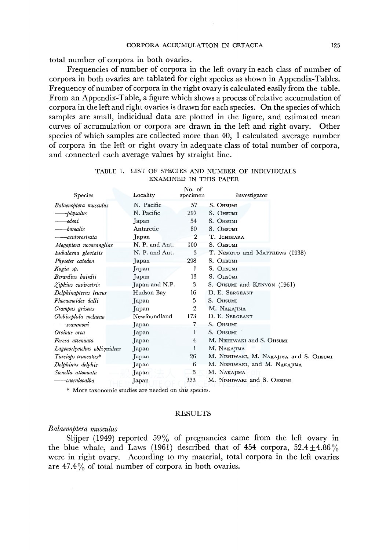total number of corpora in both ovaries.

Frequencies of number of corpora in the left ovary in each class of number of corpora in both ovaries are tablated for eight species as shown in Appendix-Tables. Frequency of number of corpora in the right ovary is calculated easily from the table. From an Appendix-Table, a figure which shows a process of relative accumulation of corpora in the left and right ovaries is drawn for each species. On the species of which samples are small, indicidual data are plotted in the figure, and estimated mean curves of accumulation or corpora are drawn in the left and right ovary. Other species of which samples are collected more than 40, I calculated average number of corpora in the left or right ovary in adequate class of total number of corpora, and connected each average values by straight line.

|                            |                | No. of         |                                         |
|----------------------------|----------------|----------------|-----------------------------------------|
| <b>Species</b>             | Locality       | specimen       | Investigator                            |
| Balaenoptera musculus      | N. Pacific     | 57             | S. OHSUMI                               |
| -physalus                  | N. Pacific     | 297            | S. OHSUMI                               |
| edeni                      | Japan          | 54             | S. OHSUMI                               |
| borealis                   | Antarctic      | 80             | S. OHSUMI                               |
| -acutorostrata             | Japan          | $\overline{2}$ | T. Ichihara                             |
| Megaptera novaeangliae     | N. P. and Ant. | 100            | S. OHSUMI                               |
| Eubalaena glacialis        | N. P. and Ant. | 3              | T. NEMOTO and MATTHEWS (1938)           |
| Physeter catodon           | Japan          | 298            | S. OHSUMI                               |
| Kogia sp.                  | Japan          | 1              | S. OHSUMI                               |
| Berardius bairdii          | Japan          | 13             | S. OHSUMI                               |
| Ziphius cavirostris        | Japan and N.P. | 3              | S. OHSUMI and KENYON (1961)             |
| Delphinapterus leucus      | Hudson Bay     | 16             | D. E. SERGEANT                          |
| Phocaenoides dalli         | Japan          | 5              | S. OHSUMI                               |
| Grampus griseus            | Japan          | 2              | M. NAKAJIMA                             |
| Globiceplala melaena       | Newfoundland   | 173            | D. E. SERGEANT                          |
| -scammoni                  | Japan          | 7              | S. OHSUMI                               |
| Orcinus orca               | Japan          | 1              | S. OHSUMI                               |
| Feresa attenuata           | Japan          | 4              | M. NISHIWAKI and S. OHSUMI              |
| Lagenorhynchus obliquidens | Japan          | 1              | M. NAKAJIMA                             |
| Tursiops truncatus*        | Japan          | 26             | M. NISHIWAKI, M. NAKAJIMA and S. OHSUMI |
| Delphinus delphis          | Japan          | 6              | M. NISHIWAKI, and M. NAKAJIMA           |
| Stenella attenuata         | Japan          | 3              | M. NAKAJIMA                             |
| -caeruleoalba              | Japan          | 333            | M. NISHIWAKI and S. OHSUMI              |
|                            |                |                |                                         |

## TABLE 1. LIST OF SPECIES AND NUMBER OF INDIVIDUALS EXAMINED IN THIS PAPER

\* More taxonomic studies are needed on this species.

## RESULTS

#### *Balaenoptera musculus*

Slijper (1949) reported  $59\%$  of pregnancies came from the left ovary in the blue whale, and Laws (1961) described that of 454 corpora,  $52.4 \pm 4.86\%$ were in right ovary. According to my material, total corpora in the left ovaries are  $47.4\%$  of total number of corpora in both ovaries.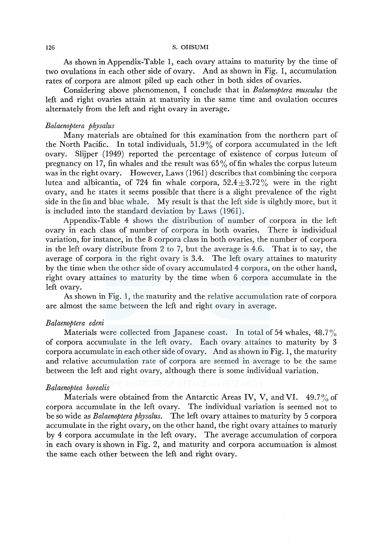As shown in Appendix-Table 1, each ovary attains to maturity by the time of two ovulations in each other side of ovary. And as shown in Fig. 1, accumulation rates of corpora are almost piled up each other in both sides of ovaries.

Considering above phenomenon, I conclude that in *Balaenoptera musculus* the left and right ovaries attain at maturity in the same time and ovulation occures alternately from the left and right ovary in average.

## *Balaenoptera physalus*

Many materials are obtained for this examination from the northern part of the North Pacific. In total individuals, 51.9% of corpora accumulated in the left ovary. Slijper (1949) reported the percentage of existence of corpus luteum of pregnancy on 17, fin whales and the result was  $65\%$  of fin whales the corpus luteum was in the right ovary. However, Laws (1961) describes that combining the corpora lutea and albicantia, of 724 fin whale corpora,  $52.4 \pm 3.72\%$  were in the right ovary, and he states it seems possible that there is a slight prevalence of the right side in the fin and blue whale. My result is that the left side is silghtly more, but it is included into the standard deviation by Laws ( 1961).

Appendix-Table 4 shows the distribution of number of corpora in the left ovary in each class of number of corpora in both ovaries. There is individual variation, for instance, in the 8 corpora class in both ovaries, the number of corpora in the left ovary distribute from 2 to 7, but the average is 4.6. That is to say, the average of corpora in the right ovary is 3.4. The left ovary attaines to maturity by the time when the other side of ovary accumulated 4 corpora, on the other hand, right ovary attaines to maturity by the time when 6 corpora accumulate in the left ovary.

As shown in Fig. 1, the maturity and the relative accumulation rate of corpora are almost the same between the left and right ovary in average.

#### *Balaenoptera edeni*

Materials were collected from Japanese coast. In total of 54 whales,  $48.7\%$ of corpora accumulate in the left ovary. Each ovary attaines to maturity by 3 corpora accumulate in each other side of ovary. And as shown in Fig. 1, the maturity and relative accumulation rate of corpora are seemed in average to be the same between the left and right ovary, although there is some individual variation.

## *Balaenoptea borealis*

Materials were obtained from the Antarctic Areas IV, V, and VI.  $49.7\%$  of corpora accumulate in the left ovary. The individual variation is seemed not to be so wide as *Balaenoptera physalus.* The left ovary attaines to maturity by 5 corpora accumulate in the right ovary, on the other hand, the right ovary attaines to maturiy by 4 corpora accumulate in the left ovary. The average accumulation of corpora in each ovary is shown in Fig. 2, and maturity and corpora accumuation is almost the same each other between the left and right ovary.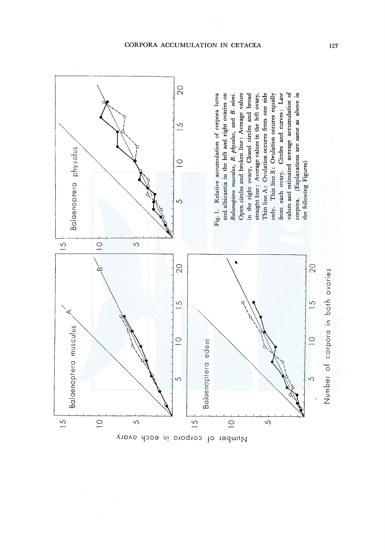

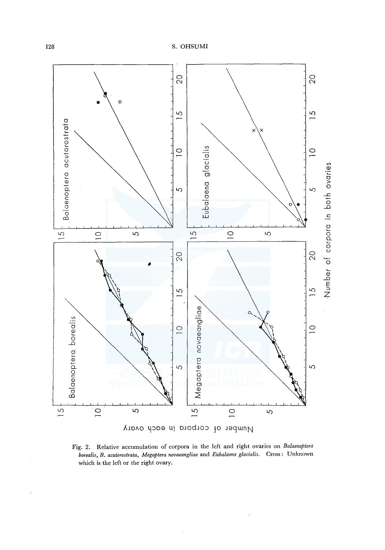

Fig. 2. Relative accumulation of corpora in the left and right ovaries on Balaenoptera borealis, B. acutorostrata, Megaptera novaeangliae and Eubalaena glacialis. Cross: Unknown which is the left or the right ovary.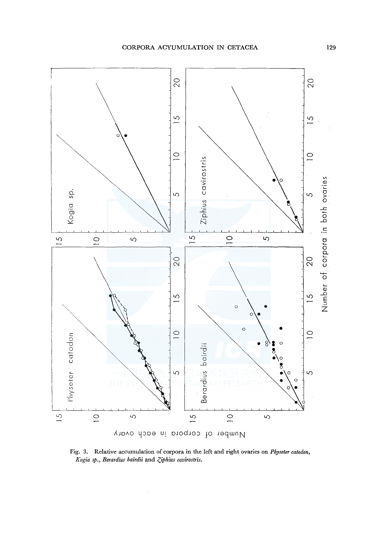

Fig. 3. Relative accumulation of corpora in the left and right ovaries on Physeter catodon, Kogia sp., Berardius bairdii and Ziphius cavirostris.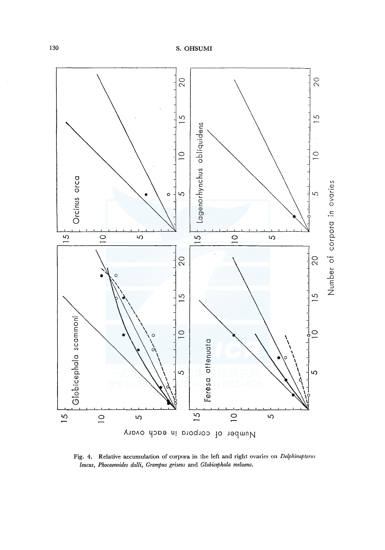

Fig. 4. Relative accumulation of corpora in the left and right ovaries on Delphinapterus leucus, Phocaenoides dalli, Grampus griseus and Globicephala melaena.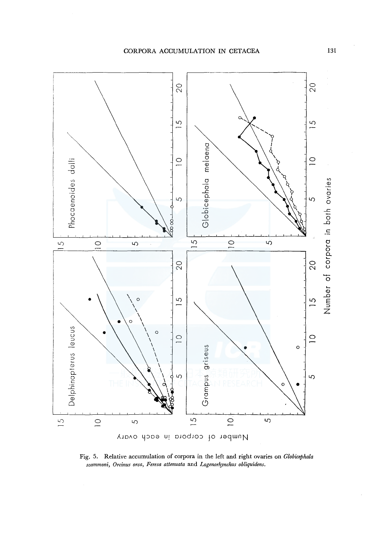

Fig, 5. Relative accumulation of corpora in the left and right ovaries on *Globicephala scammoni, Orcinus orca, Feresa attenuata* and *Lagenorhynchus obliquidens.*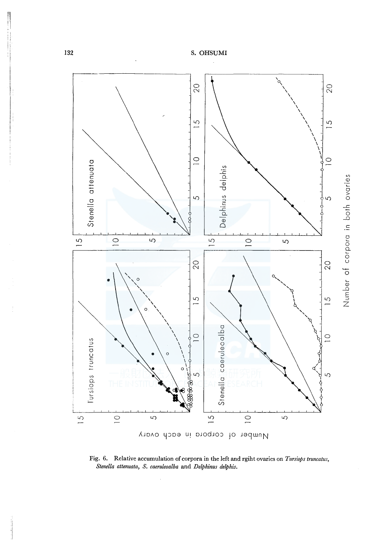

Fig. 6. Relative accumulation of corpora in the left and rgiht ovaries on Tursiops truncatus, Stenella attenuata, S. caeruleoalba and Delphinus delphis.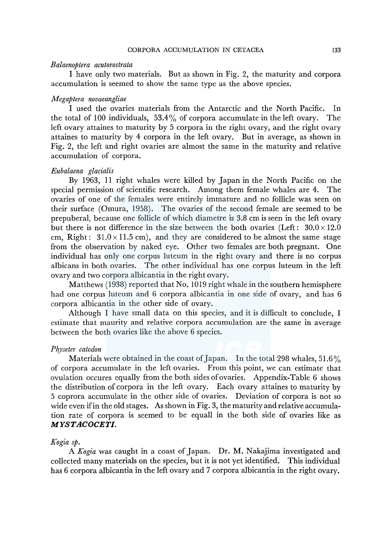#### *Balaenoptera acutorostrata*

I have only two materials. But as shown in Fig. 2, the maturity and corpora accumulation is seemed to show the same type as the above species.

### *Megaptera novaeangliae*

I used the ovaries materials from the Antarctic and the North Pacific. In the total of 100 individuals,  $53.4\%$  of corpora accumulate in the left ovary. The left ovary attaines to maturity by 5 corpora in the right ovary, and the right ovary attaines to maturity by 4 corpora in the left ovary. But in average, as shown in Fig. 2, the left and right ovaries are almost the same in the maturity and relative accumulation of corpora.

#### *Eubalaena glacialis*

By 1963, 11 right whales were killed by Japan in the North Pacific on the special permission of scientific research. Among them female whales are 4. The ovaries of one of the females were entirely immature and no follicle was seen on their surface (Omura, 1958). The ovaries of the second female are seemed to be prepuberal, because one follicle of which diametre is 3.8 cm is seen in the left ovary but there is not difference in the size between the both ovaries (Left:  $30.0 \times 12.0$ cm, Right:  $31.0 \times 11.5$  cm), and they are considered to be almost the same stage from the observation by naked eye. Other two females are both pregnant. One individual has only one corpus luteum in the right ovary and there is no corpus albicans in both ovaries. The other individual has one corpus luteum in the left ovary and two corpora albicantia in the right ovary.

Matthews (1938) reported that No. 1019 right whale in the southern hemisphere had one corpus luteum and 6 corpora albicantia in one side of ovary, and has 6 corpora albicantia in the other side of ovary.

Although I have small data on this species, and it is difficult to conclude, I estimate that maurity and relative corpora accumulation are the same in average between the both ovaries like the above 6 species.

#### *Pfryseter catodon*

Materials were obtained in the coast of Japan. In the total 298 whales, 51.6% of corpora accumulate in the left ovaries. From this point, we can estimate that ovulation occures equally from the both sides of ovaries. Appendix-Table 6 shows the distribution of corpora in the left ovary. Each ovary attaines to maturity by 5 coprora accumulate in the other side of ovaries. Deviation of corpora is not so wide even ifin the old stages. As shown in Fig. 3, the maturity and relative accumulation rate of corpora is seemed to be equall in the both side of ovaries like as *MYSTACOCETI.* 

## *Kogia sp.*

A *Kogia* was caught in a coast of Japan. Dr. M. Nakajima investigated and collected many materials on the species, but it is not yet identified. This individual has 6 corpora albicantia in the left ovary and 7 corpora albicantia in the right ovary.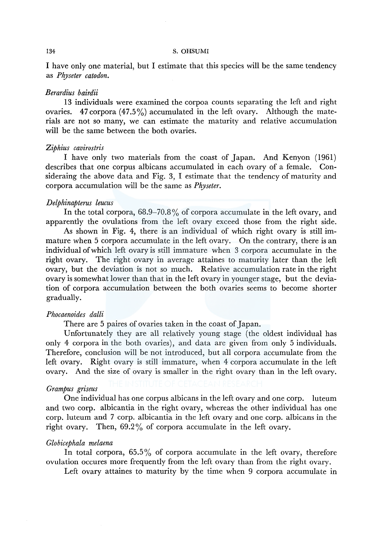I have only one material, but I estimate that this species will be the same tendency as *Physeter catodon.* 

#### *Berardius bairdii*

13 individuals were examined the corpoa counts separating the left and right ovaries. 47 corpora  $(47.5\%)$  accumulated in the left ovary. Although the materials are not so many, we can estimate the maturity and relative accumulation will be the same between the both ovaries.

## *Ziphius cavirostris*

I have only two materials from the coast of Japan. And Kenyon (1961) describes that one corpus albicans accumulated in each ovary of a female. Consideraing the above data and Fig. 3, I estimate that the tendency of maturity and corpora accumulation will be the same as *Physeter.* 

## *Delphinapterus leucus*

In the total corpora, 68.9–70.8% of corpora accumulate in the left ovary, and apparently the ovulations from the left ovary exceed those from the right side.

As shown in Fig. 4, there is an individual of which right ovary is still immature when 5 corpora accumulate in the left ovary. On the contrary, there is an individual of which left ovary is still immature when 3 corpora accumulate in the right ovary. The right ovary in average attaines to maturity later than the left ovary, but the deviation is not so much. Relative accumulation rate in the right ovary is somewhat lower than that in the left ovary in younger stage, but the deviation of corpora accumulation between the both ovaries seems to become shorter gradually.

#### *Phocaenoides dalli*

There are 5 paires of ovaries taken in the coast of Japan.

Unfortunately they are all relatively young stage (the oldest individual has only 4 corpora in the both ovaries), and data are given from only 5 individuals. Therefore, conclusion will be not introduced, but all corpora accumulate from the left ovary. Right ovary is still immature, when 4 corpora accumulate in the left ovary. And the size of ovary is smaller in the right ovary than in the left ovary.

## *Grampus griseus*

One individual has one corpus albicans in the left ovary and one corp. luteum and two corp. albicantia in the right ovary, whereas the other individual has one corp. luteum and 7 corp. albicantia in the left ovary and one corp. albicans in the right ovary. Then, 69.2% of corpora accumulate in the left ovary.

## *Globicephala melaena*

In total corpora,  $65.5\%$  of corpora accumulate in the left ovary, therefore ovulation occures more frequently from the left ovary than from the right ovary.

Left ovary attaines to maturity by the time when 9 corpora accumulate in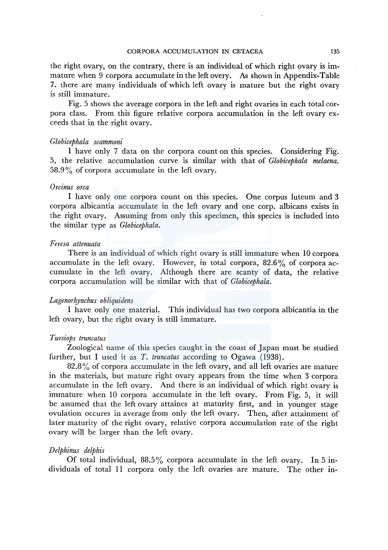the right ovary, on the contrary, there is an individual of which right ovary is immature when 9 corpora accumulate in the left overy. As shown in Appendix-Table 7. there are many individuals of which left ovary is mature but the right ovary is still immature.

Fig. 5 shows the average corpora in the left and right ovaries in each total corpora class. From this figure relative corpora accumulation in the left ovary exceeds that in the right ovary.

#### *Globicephala scammoni*

I have only 7 data on the corpora count on this species. Considering Fig. 5, the relative accumulation curve is similar with that of *Globicephala melaena.*  58.9% of corpora accumulate in the left ovary.

#### *Orcinus orca*

I have only one corpora count on this species. One corpus luteum and 3 corpora albicantia accumulate in the left ovary and one corp. albicans exists in the right ovary. Assuming from only this specimen, this species is included into the similar type as *Globicephala.* 

#### *Feresa attenuata*

There is an individual of which right ovary is still immature when 10 corpora accumulate in the left ovary. However, in total corpora,  $82.6\%$  of corpora accumulate in the left ovary. Although there are scanty of data, the relative corpora accumulation will be similar with that of *Globicephala.* 

#### *Lagenorhynchus obliquidens*

I have only one material. This individual has two corpora albicantia in the left ovary, but the right ovary is still immature.

#### *Tursiops truncatus*

Zoological name of this species caught in the coast of Japan must be studied further, but I used it as *T. truncatus* according to Ogawa (1938).

82.8% of corpora accumulate in the left ovary, and all left ovaries are mature in the materials, but mature right ovary appears from the time when 3 corpora accumulate in the left ovary. And there is an individual of which right ovary is immature when 10 corpora accumulate in the left ovary. From Fig. 5, it will be assumed that the left ovary attaines at maturity first, and in younger stage ovulation occures in average from only the left ovary. Then, after attainment of later maturity of the right ovary, relative corpora accumulation rate of the right ovary will be larger than the left ovary.

#### *Delphinus delphis*

Of total individual,  $88.5\%$  corpora accumulate in the left ovary. In 5 individuals of total 11 corpora only the left ovaries are mature. The other in-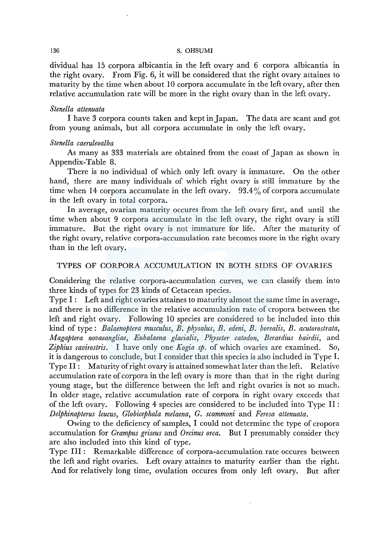dividual has 15 corpora albicantia in the left ovary and 6 corpora albicantia in the right ovary. From Fig. 6, it will be considered that the right ovary attaines to maturity by the time when about 10 corpora accumulate in the left ovary, after then relative accumulation rate will be more in the right ovary than in the left ovary.

#### *Stenella attenuata*

I have 3 corpora counts taken and kept in Japan. The data are scant and got from young animals, but all corpora accumulate in only the left ovary.

#### *Stenella caeruleoalba*

As many as 333 materials are obtained from the coast of Japan as shown in Appendix-Table 8.

There is no individual of which only left ovary is immature. On the other hand, there are many individuals of which right ovary is still immature by the time when 14 corpora accumulate in the left ovary.  $93.4\%$  of corpora accumulate in the left ovary in total corpora.

In average, ovarian maturity occures from the left ovary first, and until the time when about 9 corpora accumulate in the left ovary, the right ovary is still immature. But the right ovary is not immature for life. After the maturity of the right ovary, relative corpora-accumulation rate becomes more in the right ovary than in the left ovary.

## TYPES OF CORPORA ACCUMULATION IN BOTH SIDES OF OVARIES

Considering the relative corpora-accumulation curves, we can classify them into three kinds of types for 23 kinds of Cetacean species.

Type I: Left and right ovaries attaines to maturity almost the same time in average, and there is no difference in the relative accumulation rate of cropora between the left and right ovary. Following 10 species are considered to be included into this kind of type: *Balaenoptera musculus, B. physalus, B. edeni, B. borealis, B. acutorostrata, Magaptera novaeangliae, Eubalaena glacialis, Physeter catodon, Berardius bairdii,* and *Ziphius cavirostris.* I have only one *Kogia sp.* of which ovaries are examined. So, it is dangerous to conclude, but I consider that this species is also included in Type I. Type II : Maturity of right ovary is attained somewhat later than the left. Relative accumulation rate of corpora in the left ovary is more than that in the right during young stage, but the difference between the left and right ovaries is not so much. In older stage, relative accumulation rate of corpora in right ovary exceeds that of the left ovary. Following 4 species are considered to be included into Type II : *Delphinapterus leucus, Globicephala melaena, G. scammoni* and *Feresa attenuata.* 

Owing to the deficiency of samples, I could not determine the type of cropora accumulation for *Grampus griseus* and *Orcinus orca.* But I presumably consider they are also included into this kind of type.

Type III : Remarkable difference of corpora-accumulation rate occures between the left and right ovaries. Left ovary attaines to maturity earlier than the right. And for relatively long time, ovulation occures from only left ovary. But after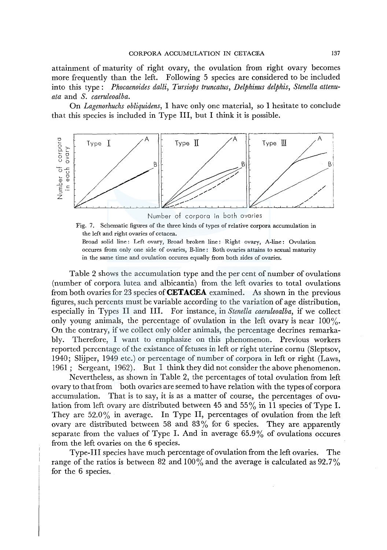attainment of maturity of right ovary, the ovulation from right ovary becomes more frequently than the left. Following 5 species are considered to be included into this type: *Phocaenoides dalli, Tursiops truncatus, Delphinus delphis, Stenella attenuata* and *S. caeruleoalba.* 

On *Lagenorhuchs obliquidens,* I have only one material, so I hesitate to conclude that this species is included in Type III, but I think it is possible.



Number of corpora in both ovaries

Fig. 7. Schematic figures of the three kinds of types of relative corpora accumulation in the left and right ovaries of cetacea.

Broad solid line: Left ovary, Broad broken line: Right ovary, A-line: Ovulation occures from only one side of ovaries, B-line: Both ovaries attains to sexual maturity in the same time and ovulation occures equally from both sides of ovaries.

Table 2 shows the accumulation type and the per cent of number of ovulations (number of corpora lutea and albicantia) from the left ovaries to total ovulations from both ovaries for 23 species **ofCETACEA** examined. As shown in the previous figures, such percents must be variable according to the variation of age distribution, especially in Types II and III. For instance, in *Stenella caeruleoalba,* if we collect only young animals, the percentage of ovulation in the left ovary is near  $100\%$ . On the contrary, if we collect only older animals, the percentage decrines remarkably. Therefore, I want to emphasize on this phenomenon. Previous workers reported percentage of the existance of fetuses in left or right uterine cornu (Sleptsov, 1940; Slijper, 1949 etc.) or percentage of number of corpora in left or right (Laws, 1961 ; Sergeant, 1962). But I think they did not consider the above phenomenon.

Nevertheless, as shown in Table 2, the percentages of total ovulation from left ovary to that from both ovaries are seemed to have relation with the types of corpora accumulation. That is to say, it is as a matter of course, the percentages of ovulation from left ovary are distributed between 45 and 55% in 11 species of Type I. They are 52.0% in average. In Type II, percentages of ovulation from the left ovary are distributed between 58 and 83% for 6 species. They are apparently separate from the values of Type I. And in average  $65.9\%$  of ovulations occures from the left ovaries on the 6 species.

Type-III species have much percentage of ovulation from the left ovaries. The range of the ratios is between 82 and 100% and the average is calculated as  $92.7\%$ for the 6 species.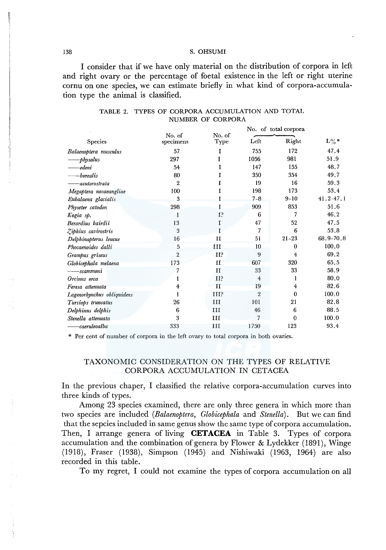I consider that if we have only material on the distribution of corpora in left and right ovary or the percentage of foetal existence in the left or right uterine cornu on one species, we can estimate briefly in what kind of corpora-accumulation type the animal is classified.

|                            |                     |                |                | No. of total corpora |               |
|----------------------------|---------------------|----------------|----------------|----------------------|---------------|
| Species                    | No. of<br>specimens | No. of<br>Type | Left           | Right                | $L\%*$        |
| Balaenoptera musculus      | 57                  | T              | 755            | 172                  | 47.4          |
| physalus-                  | 297                 |                | 1056           | 981                  | 51.9          |
| edeni                      | 54                  | T              | 147            | 155                  | 48.7          |
| borealis                   | 80                  |                | 350            | 354                  | 49.7          |
| acutorostrata              | $\overline{2}$      |                | 19             | 16                   | 59.3          |
| Megaptera novaeangliae     | 100                 | r              | 198            | 173                  | 53.4          |
| Eubalaena glacialis        | 3                   |                | $7 - 8$        | $9 - 10$             | $41.2 - 47.1$ |
| Physeter catodon           | 298                 | Г              | 909            | 853                  | 51.6          |
| Kogia sp.                  |                     | 1 <sup>5</sup> | 6              | 7                    | 46.2          |
| Berardius bairdii          | 13                  | Ι              | 47             | 52                   | 47.5          |
| Ziphius cavirostris        | 3                   |                | 7              | 6                    | 53.8          |
| Delphinapterus leucus      | 16                  | п              | 51             | $21 - 23$            | 68.9-70.8     |
| Phocaenoides dalli         | 5                   | Ш              | 10             | $\theta$             | 100.0         |
| Grampus griseus            | $\overline{2}$      | II?            | 9              | 4                    | 69.2          |
| Globicephala melaena       | 173                 | $_{II}$        | 607            | 320                  | 65.5          |
| -scammoni                  |                     | $_{II}$        | 33             | 33                   | 58.9          |
| Orcinus orca               |                     | II?            | $\overline{4}$ |                      | 80.0          |
| Feresa attenuata           | 4                   | $_{II}$        | 19             | 4                    | 82.6          |
| Lagenorhynchus obliquidens |                     | III?           | $\overline{2}$ | 0                    | 100.0         |
| Tursiops truncatus         | 26                  | III            | 101            | 21                   | 82.8          |
| Delphinus delphis          | 6                   | III            | 46             | 6                    | 88.5          |
| Stenella attenuata         | 3                   | ш              |                | $\Omega$             | 100.0         |
| -caeruleoalba              | 333                 | ш              | 1750           | 123                  | 93.4          |

## TABLE 2. TYPES OF CORPORA ACCUMULATION AND TOTAL NUMBER OF CORPORA

\* Per cent of number of corpora in the left ovary to total corpora in both ovaries.

## TAXONOMIC CONSIDERATION ON THE TYPES OF RELATIVE CORPORA ACCUMULATION IN CETACEA

In the previous chaper, I classified the relative corpora-accumulation curves into three kinds of types.

Among 23 species examined, there are only three genera in which more than two species are included (Balaenoptera, Globicephala and Stenella). But we can find that the sepcies included in same genus show the same type of corpora accumulation. Then, I arrange genera of living **CETACEA** in Table 3. Types of corpora accumulation and the combination of genera by Flower & Lydekker (1891), Winge (1918), Fraser (1938), Simpson (1945) and Nishiwaki (1963, 1964) are also recorded in this table.

To my regret, I could not examine the types of corpora accumulation on all

138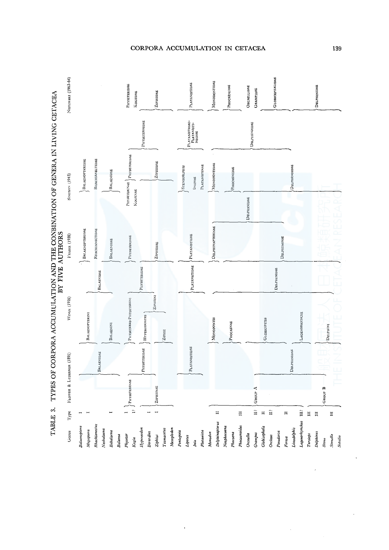

CORPORA ACCUMULATION IN CETACEA

139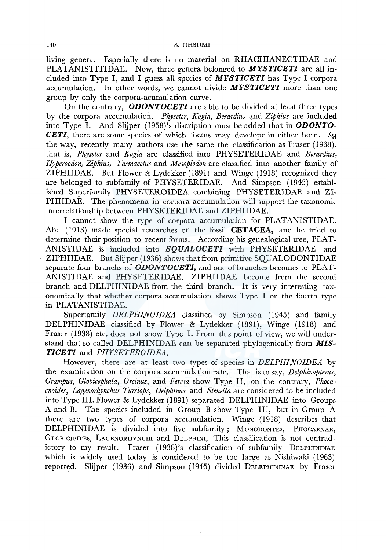living genera. Especially there is no material on RHACHIANECTIDAE and PLATANISTITIDAE. Now, three genera belonged to *MYSTICETI* are all included into Type I, and I guess all species of *MYSTICETI* has Type I corpora accumulation. In other words, we cannot divide *MYSTICETI* more than one group by only the corpora-acumulation curve.

On the contrary, *ODONTOCETI* are able to be divided at least three types by the corpora accumulation. *Physeter, Kogia, Berardius* and *Ziphius* are included into Type I. And Slijper (1958)'s discription must be added that in *ODONTO-CETI*, there are some species of which foetus may develope in either horn. Ag the way, recently many authors use the same the classification as Fraser (1938), that is, *Physeter* and *Kogia* are classified into PHYSETERIDAE and *Berardius, Hyperoodon, Ziphius, Tasmacetus* and *Mesoplodon* are classified into another family of ZIPHIIDAE. But Flower & Lydekker (1891) and Winge (1918) recognized they are belonged to subfamily of PHYSETERIDAE. And Simpson (1945) established Superfamily PHYSETEROIDEA combining PHYSETERIDAE and ZI-PHIIDAE. The phenomena in corpora accumulation will support the taxonomic interrelationship between PHYSETERIDAE and ZIPHIIDAE.

I cannot show the type of corpora accumulation for PLATANISTIDAE. Abel (1913) made special researches on the fossil **CETACEA,** and he tried to determine their position to recent forms. According his genealogical tree, PLAT-ANISTIDAE is included into *SQUALOCETI* with PHYSETERIDAE and ZIPHIIDAE. But Slijper (1936) shows that from primitive SQUALODONTIDAE separate four branchs of *ODONTOCETI,* and one of branches becomes to PLAT-ANISTIDAE and PHYSETERIDAE. ZIPHIIDAE become from the second branch and DELPHINIDAE from the third branch. It is very interesting taxonomically that whether corpora accumulation shows Type I or the fourth type in PLATANISTIDAE.

Superfamily *DELPHINOIDEA* classified by Simpson (1945) and family DELPHINIDAE classified by Flower & Lydekker (1891), Winge (1918) and Fraser (1938) etc. does not show Type I. From this point of view, we will understand that so called DELPHINIDAE can be separated phylogenically from *MIS-TICETI* and *PHYSETEROIDEA.* 

However, there are at least two types of species in *DELPHINOIDEA* by the examination on the corpora accumulation rate. That is to say, *Delphinapterus, Grampus, Globicephala, Orcinus,* and *Feresa* show Type II, on the contrary, *Phocaenoides, Lagenorhynchus Tursiops, Delphinus* and *Stenella* are considered to be included into Type III. Flower & Lydekker (1891) separated DELPHINIDAE into Groups A and B. The species included in Group B show Type III, but in Group A there are two types of corpora accumulation. Winge (1918) describes that DELPHINIDAE is divided into five subfamily; MONODONTES, PHOCAENAE, GLOBICIPITES, LAGENORHYNCHI and DELPHINI, This classification is not contradictory to my result. Fraser (1938)'s classification of subfamily DELPHININAE which is widely used today is considered to be too large as Nishiwaki (1963) reported. Slijper (1936) and Simpson (1945) divided DELEPHININAE by Fraser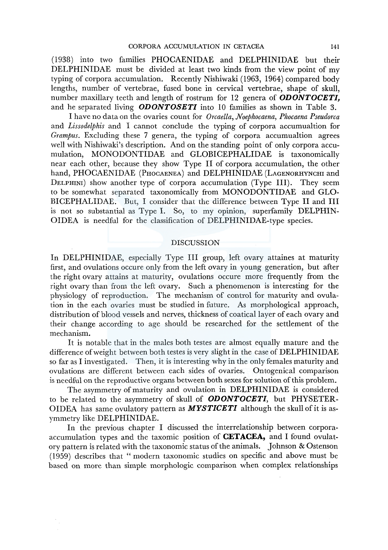(1938) into two families PHOCAENIDAE and DELPHINIDAE but their DELPHINIDAE must be divided at least two kinds from the view point of my typing of corpora accumulation. Recently Nishiwaki (1963, 1964) compared body lengths, number of vertebrae, fused bone in cervical vertebrae, shape of skull, number maxillary teeth and length of rostrum for 12 genera of *ODONTOCETI,*  and he separated living *ODONTOSETI* into 10 families as shown in Table 3.

I have no data on the ovaries count for *Orcaella, Noephocaena, Phocaena Pseudorca*  and *Lissodelphis* and I cannot conclude the typing of corpora accumualtion for *Grampus.* Excluding these 7 genera, the typing of corpora accumualtion agrees well with Nishiwaki's description. And on the standing point of only corpora accumulation, MONODONTIDAE and GLOBICEPHALIDAE is taxonomically near each other, because they show Type II of corpora accumulation, the other hand, PHOCAENIDAE (PHOCAENEA) and DELPHINIDAE (LAGENORHYNCHI and DELPHINI) show another type of corpora accumulation (Type III). They seem to be somewhat separated taxonomically from MONODONTIDAE and GLO-BICEPHALIDAE. But, I consider that the difference between Type II and III is not so substantial as Type I. So, to my opinion, superfamily DELPHIN-OIDEA is needful for the classification of DELPHINIDAE-type species.

#### **DISCUSSION**

In DELPHINIDAE, especially Type III group, left ovary attaines at maturity first, and ovulations occure only from the left ovary in young generation, but after the right ovary attains at maturity, ovulations occure more frequently from the right ovary than from the left ovary. Such a phenomenon is interesting for the physiology of reproduction. The mechanism of control for maturity and ovulation in the each ovaries must be studied in future. As morphological approach, distribution of blood vessels and nerves, thickness of coatical layer of each ovary and their change according to age should be researched for the settlement of the mechanism.

It is notable that in the males both testes are almost equally mature and the difference of weight between both testes is very slight in the case of DELPHINIDAE so far as I investigated. Then, it is interesting why in the only females maturity and ovulations are different between each sides of ovaries. Ontogenical comparison is needful on the reproductive organs between both sexes for solution of this problem.

The asymmetry of maturity and ovulation in DELPHINIDAE is considered to be related to the asymmetry of skull of *ODONTOCETI,* but PHYSETER-OIDEA has same ovulatory pattern as *MYSTICETI* although the skull of it is asymmetry like DELPHINIDAE.

In the previous chapter I discussed the interrelationship between corporaaccumulation types and the taxomic position of **CETACEA,** and I found ovulatory pattern is related with the taxonomic status of the animals. Johnson & Ostenson (1959) describes that "modern taxonomic studies on specific and above must be based on more than simple morphologic comparison when complex relationships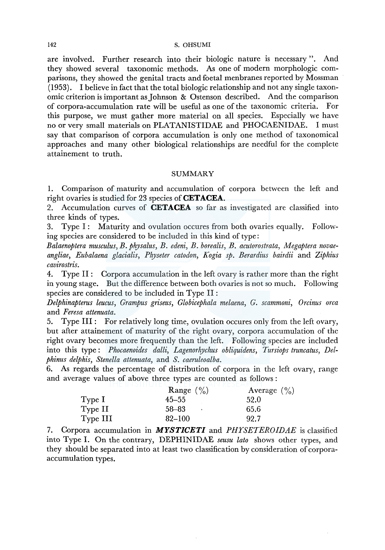are involved. Further research into their biologic nature is necessary ". And they showed several taxonomic methods. As one of modern morphologic comparisons, they showed the genital tracts and foetal menbranes reported by Mossman  $(1953)$ . I believe in fact that the total biologic relationship and not any single taxonomic criterion is important as Johnson & Ostenson described. And the comparison of corpora-accumulation rate will be useful as one of the taxonomic criteria. For this purpose, we must gather more material on all species. Especially we have no or very small materials on PLATANISTIDAE and PHOCAENIDAE. I must say that comparison of corpora accumulation is only one method of taxonomical approaches and many other biological relationships are needful for the complete attainement to truth.

### SUMMARY

1. Comparison of maturity and accumulation of corpora between the left and right ovaries is studied for 23 species of **CETACEA.** 

2. Accumulation curves of **CETACEA** so far as investigated are classified into three kinds of types.

3. Type I: Maturity and ovulation occures from both ovaries equally. Following species are considered to be included in this kind of type:

*Balaenoptera musculus, B. physalus, B. edeni, B. borealis, B. acutorostrata, Megaptera novaeangliae, Eubalaena glacialis, Physeter catodon, Kogia sp. Berardius bairdii* and *Ziphius cavirostris.* 

4. Type II: Corpora accumulation in the left ovary is rather more than the right in young stage. But the difference between both ovaries is not so much. Following species are considered to be included in Type II :

*Delphinapterus leucus, Grampus griseus, Globicephala melaena, G. scammoni, Orcinus orca*  and *Feresa attenuata.* 

5. Type III: For relatively long time, ovulation occures only from the left ovary, but after attainement of maturity of the right ovary, corpora accumulation of the right ovary becomes more frequently than the left. Following species are included into this type: *Phocaenoides dalli, Lagenorhychus obliquidens, Tursiops truncatus, Delphinus delphis, Stenella attenuata,* and *S. caeruleoalba.* 

6. As regards the percentage of distribution of corpora in the left ovary, range and average values of above three types are counted as follows :

|          | Range $(\% )$ | Average $(\% )$ |
|----------|---------------|-----------------|
| Type I   | $45 - 55$     | 52.0            |
| Type II  | 58–83         | 65.6            |
| Type III | $82 - 100$    | 92.7            |

7. Corpora accumulation in *MYSTJCETI* and *PHYSETEROIDAE* is classified into Type I. On the contrary, DEPHINIDAE *seusu lato* shows other types, and they should be separated into at least two classification by consideration of corporaaccumulation types.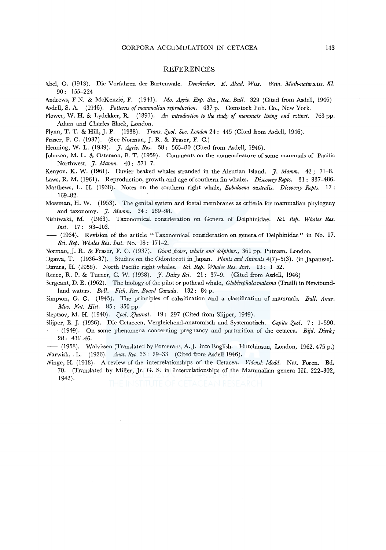#### **REFERENCES**

- l\bel, O. (1913). Die Vorfahren der Bartenwale. *Denskscher. K. Akad. Wiss. Wein. Math-naturwiss. Kl.*  90: 155-224
- l\ndrews, F N. & McKenzie, F. (1941). *Mo. Agric. Exp. Sta., Ree. Bull.* 329 (Cited from Asdell, 1946) Asdell, S. A. (1946). *Patterns of mammalian reproduction.*  $437$  p. Comstock Pub. Co., New York.
- E"lower, \IV. H. & Lydekker, R. (1891). *An introduction to the study of mammals living and extinct.* 763 pp. Adam and Charles Black, London.
- Flynn, T. T. & Hill, J. P. (1938). *Trans. Zool. Soc. London* 24: 445 (Cited from Asdell, 1946).

Fraser, F. C. (1937). (See Norman, J. R. & Fraser, F. C.)

- Henning, W. L. (1939). *J. Agric. Res.* 58: 565-80 (Cited from Asdell, 1946).
- [ohnson, M. L. & Ostenson, B. T. (1959). Comments on the nomencleature of some mammals of Pacific Northwest. J. *Mamm.* 40: 571-7.
- Kenyon, K. W. (1961). Cuvier beaked whales stranded in the Aleutian Island. *J. Mamm.* 42; 71-8.
- Laws, R. M. (1961). Reproduction, growth and age of southern fin whales. *Discovery Repts.* 31: 337–486.
- Matthews, L. H. (1938). Notes on the southern right whale, *Eubalaena australis. Discovery Repts.* 17 : 169-82.
- Mossman, H. W. (1953). The genital system and foetal membranes as criteria for mammalian phylogeny and taxonomy. J. *Mamm.* 34 : 289-98.
- \fishiwaki, M. (1963). Taxonomical consideration on Genera of Delphinidae. *Sci. Rep. Whales Res. Inst.* 17: 93-103.
- (1964). Revision of the article "Taxonomical consideration on genera of Delphinidae" in No. 17. *Sci. Rep. Whales Res. Inst.* No. 18: 171-2.

'Jarman, J. R. & Fraser, F. C. (1937). *Giant fishes, whals and dolphins.,* 361 pp. Putnam, London.

- Jgawa, T. (1936-37). Studies on the Odontoceti in Japan. *Plants and Animals* 4(7)-5(3). (in Japanese). Jmura, H. (1958). North Pacific right whales. *Sci. Rep. Whales Res. Inst.* 13: 1-52.
- R.eece, R. P. & Turner, C. W. (1938). J. *Dairy Sci.* 21: 37-9. (Cited from Asdell, 1946)
- '>ergeant, D. E. (1962). The biology of the pilot or pothead whale, *Globicephala malaena* (Traill) in Newfoundland waters. *Bull. Fish. Res. Board Canada.* 132: 84 p.
- Simpson, G. G. (1945). The principles of calssification and a classification of mammals. *Bull. Amer. Mus. Nat. Hist.* 85 : 350 pp.
- Sleptsov, M. H. (1940). *Zool. Zhurnal.* 19: 297 (Cited from Slijper, 1949).
- Slijper, E. J. (1936). Die Cetaceen, Vergleichend-anatomisch und Systematisch. *Capita Zool.* 7: 1-590. - (1949). On some phenomena concerning pregnancy and parturition of the cetacea. *Bijd. Dierk*; 28: 416-46.

-- (1958). Walvissen (Translated by Pomerans, A.J. into English. Hutchinson, London, 1962. 475 p.) 1-Varwisk, . L. (1926). *Anat. Ree.* 33: 29-33 (Cited from Asdell 1946).

Winge, H. (1918). A review of the interrelationships of the Cetacea. *Vidensk Medd.* Nat. Foren. Bd. 70. (Translated by Miller, Jr. G. S. in Interrelationships of the Mammalian genera III. 222-302, 1942).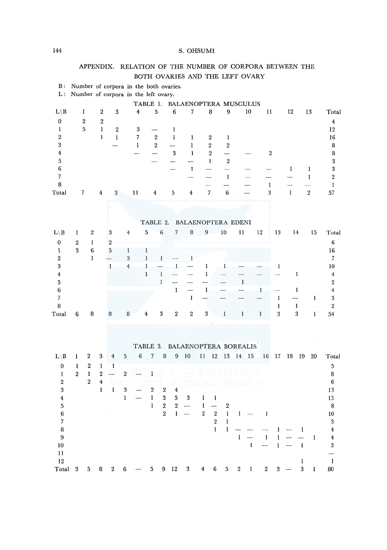|                                 |                                      | APPENDIX.         |                  |                                        |                  |              |                  |              |                          | RELATION OF THE NUMBER OF CORPORA BETWEEN THE |                  |                          |                  |                             |                   |                          |                     |                       |                  |                          |                                       |
|---------------------------------|--------------------------------------|-------------------|------------------|----------------------------------------|------------------|--------------|------------------|--------------|--------------------------|-----------------------------------------------|------------------|--------------------------|------------------|-----------------------------|-------------------|--------------------------|---------------------|-----------------------|------------------|--------------------------|---------------------------------------|
|                                 |                                      |                   |                  |                                        |                  |              |                  |              |                          | BOTH OVARIES AND THE LEFT OVARY               |                  |                          |                  |                             |                   |                          |                     |                       |                  |                          |                                       |
| <b>B</b> :                      |                                      |                   |                  | Number of corpora in the both ovaries. |                  |              |                  |              |                          |                                               |                  |                          |                  |                             |                   |                          |                     |                       |                  |                          |                                       |
| L:                              |                                      |                   |                  | Number of corpora in the left ovary.   |                  |              |                  |              |                          |                                               |                  |                          |                  |                             |                   |                          |                     |                       |                  |                          |                                       |
|                                 |                                      |                   |                  |                                        |                  | TABLE 1.     |                  |              |                          | BALAENOPTERA MUSCULUS                         |                  |                          |                  |                             |                   |                          |                     |                       |                  |                          |                                       |
| $L \backslash B$                |                                      | 1                 | $\,2$            | 3                                      |                  | $\bf 4$      | 5                |              | $\boldsymbol{6}$         | 7                                             |                  | $\bf 8$                  | 9                |                             | 10                | 11                       |                     | 12                    |                  | 13                       | Total                                 |
| $\pmb{0}$                       |                                      | $\,2\,$           | $\boldsymbol{2}$ |                                        |                  |              |                  |              |                          |                                               |                  |                          |                  |                             |                   |                          |                     |                       |                  |                          | $\bf{4}$                              |
| $\mathbf{1}$                    |                                      | 5                 | $\mathbf{1}$     | $\boldsymbol{2}$                       |                  | 3            |                  |              | $\mathbf{I}$             |                                               |                  |                          |                  |                             |                   |                          |                     |                       |                  |                          | 12                                    |
| $\overline{2}$                  |                                      |                   | $\mathbf{I}$     | $\mathbf{1}$                           |                  | 7            | $\,2$            |              | $\bf{l}$                 | 1                                             |                  | $\boldsymbol{2}$         | 1                |                             |                   |                          |                     |                       |                  |                          | 16                                    |
| $\boldsymbol{3}$                |                                      |                   |                  |                                        |                  | $\mathbf{I}$ | $\overline{2}$   |              | $\overline{\phantom{0}}$ | $\mathbf{1}$                                  |                  | $\sqrt{2}$               | $\boldsymbol{2}$ |                             |                   |                          |                     |                       |                  |                          | 8                                     |
| $\overline{\mathbf{4}}$         |                                      |                   |                  |                                        |                  |              |                  |              | 3                        | $\mathbf{I}$                                  |                  | $\overline{2}$           | $\qquad \qquad$  |                             |                   | $\sqrt{2}$               |                     |                       |                  |                          | 8                                     |
| 5                               |                                      |                   |                  |                                        |                  |              |                  |              |                          |                                               |                  | $\mathbf{1}$             | $\,2$            |                             |                   |                          |                     |                       |                  |                          | $\sqrt{3}$                            |
| $\,6$                           |                                      |                   |                  |                                        |                  |              |                  |              |                          | $\mathbf{1}$                                  |                  | $\overline{\phantom{0}}$ | -                |                             |                   |                          |                     | 1                     |                  | 1                        | $\bf 3$                               |
| $\boldsymbol{7}$                |                                      |                   |                  |                                        |                  |              |                  |              |                          |                                               |                  |                          | $\mathbf{1}$     |                             |                   |                          |                     |                       |                  | $\mathbf{I}$             | $\,2\,$                               |
| 8                               |                                      |                   |                  |                                        |                  |              |                  |              |                          |                                               |                  |                          |                  |                             |                   | $\mathbf{1}$             |                     | --                    |                  | $\overline{\phantom{0}}$ | 1                                     |
| Total                           |                                      | 7                 | 4                | 3                                      |                  | 11           | 4                |              | 5                        | 4                                             |                  | 7                        | $\bf 6$          |                             |                   | 3                        |                     | $\mathbf{1}$          |                  | $\sqrt{2}$               | 57                                    |
|                                 |                                      |                   |                  |                                        |                  |              |                  |              |                          |                                               |                  |                          |                  |                             |                   |                          |                     |                       |                  |                          |                                       |
|                                 |                                      |                   |                  |                                        |                  |              |                  |              |                          |                                               |                  |                          |                  |                             |                   |                          |                     |                       |                  |                          |                                       |
|                                 |                                      |                   |                  |                                        |                  |              |                  | TABLE 2.     |                          | BALAENOPTERA EDENI                            |                  |                          |                  |                             |                   |                          |                     |                       |                  |                          |                                       |
| $L \backslash B$                | 1                                    | $\boldsymbol{2}$  |                  | 3                                      | 4                |              | 5                | 6            | 7                        | 8                                             | $\boldsymbol{9}$ |                          | 10               | 11                          |                   | 12                       | 13                  | 14                    |                  | 15                       | Total                                 |
|                                 |                                      |                   |                  |                                        |                  |              |                  |              |                          |                                               |                  |                          |                  |                             |                   |                          |                     |                       |                  |                          |                                       |
| $\pmb{0}$<br>1                  | $\boldsymbol{2}$<br>$\boldsymbol{3}$ | $\mathbf{1}$<br>6 |                  | $\boldsymbol{2}$<br>5                  | 1                |              | 1                |              |                          |                                               |                  |                          |                  |                             |                   |                          |                     |                       |                  |                          | $\bf 6$<br>16                         |
| $\,2\,$                         |                                      | $\mathbf{1}$      |                  | щ                                      | 3                |              | $\mathbf{1}$     | $\mathbf{1}$ |                          | 1                                             |                  |                          |                  |                             |                   |                          |                     |                       |                  |                          | $\overline{7}$                        |
| 3                               |                                      |                   |                  | $\mathbf{1}$                           | $\overline{4}$   |              | $\mathbf 1$      |              | $\mathbf{1}$             |                                               | $\mathbf{1}$     |                          | 1                |                             |                   |                          | 1                   |                       |                  |                          | 10                                    |
| 4                               |                                      |                   |                  |                                        |                  |              | $\mathbf{1}$     | $\bf{l}$     | Ł.                       |                                               | $\,1\,$          |                          |                  |                             |                   |                          |                     |                       | I                |                          | $\overline{4}$                        |
| 5                               |                                      |                   |                  |                                        |                  |              |                  | $\mathbf{1}$ |                          | -----                                         |                  |                          |                  | $\mathbf{1}$                |                   |                          |                     |                       |                  |                          | $\boldsymbol{2}$                      |
| 6                               |                                      |                   |                  |                                        |                  |              |                  |              | 1                        | $\overline{\phantom{0}}$                      | 1                |                          |                  |                             |                   | $\mathbf{1}$             |                     |                       | 1                |                          | $\boldsymbol{4}$                      |
| 7                               |                                      |                   |                  |                                        |                  |              |                  |              |                          | $\mathbf{1}$                                  |                  |                          |                  |                             |                   |                          | $\mathbf{1}$        |                       |                  | 1                        | $\boldsymbol{3}$                      |
| $\bf 8$                         |                                      |                   |                  |                                        |                  |              |                  |              |                          |                                               |                  |                          |                  |                             |                   |                          | $\mathbf{I}$        |                       | $\mathbf{I}$     |                          | $\boldsymbol{2}$                      |
| Total                           | 6                                    | 8                 |                  | 8                                      | 8                |              | 4                | 3            | $\,2$                    | $\,2\,$                                       | $\boldsymbol{3}$ |                          | $\mathbf{1}$     | 1                           |                   | $\bf{l}$                 | 3                   |                       | $\boldsymbol{3}$ | $\mathbf{1}$             | 54                                    |
|                                 |                                      |                   |                  |                                        |                  |              |                  |              |                          |                                               |                  |                          |                  |                             |                   |                          |                     |                       |                  |                          |                                       |
|                                 |                                      |                   |                  |                                        |                  |              |                  |              |                          |                                               |                  |                          |                  |                             |                   |                          |                     |                       |                  |                          |                                       |
|                                 |                                      |                   |                  |                                        |                  |              |                  |              |                          |                                               |                  |                          |                  |                             |                   |                          |                     |                       |                  |                          |                                       |
|                                 |                                      |                   |                  |                                        |                  | TABLE 3.     |                  |              |                          | BALAENOPTERA BOREALIS                         |                  |                          |                  |                             |                   |                          |                     |                       |                  |                          |                                       |
| $L \backslash B$                | 1                                    | 2                 | 3                | 4                                      | $\mathbf 5$      | $\,6$        | 7                | $\bf 8$      | $9\,$                    | 10                                            | 11               | $12\,$                   |                  | 13 14 15                    |                   | 16                       | -17                 | 18                    | -19              | 20                       | Total                                 |
| $\boldsymbol{0}$                | 1                                    | 2                 | $\mathbf{1}$     | $\mathbf{1}$                           |                  |              |                  |              |                          |                                               |                  |                          |                  |                             |                   |                          |                     |                       |                  |                          | $\bf 5$                               |
| $\mathbf{1}$                    | $\overline{2}$                       | $\mathbf{I}$      | $\sqrt{2}$       | Ξ                                      | $\boldsymbol{2}$ |              | 1                |              |                          |                                               |                  |                          |                  |                             |                   |                          |                     |                       |                  |                          | 8                                     |
| $\boldsymbol{2}$                |                                      | $\overline{2}$    | $\boldsymbol{4}$ |                                        |                  |              |                  |              |                          |                                               |                  |                          |                  |                             |                   |                          |                     |                       |                  |                          | 6                                     |
| 3                               |                                      |                   | $\bf{l}$         | 1                                      | 3                |              | $\boldsymbol{2}$ | $\,2$        | 4                        |                                               |                  |                          |                  |                             |                   |                          |                     |                       |                  |                          | 13                                    |
| $\bf{4}$                        |                                      |                   |                  |                                        | $\mathbf{1}$     |              | $\mathbf{I}$     | 3            | 5                        | 3                                             | 1                | 1                        |                  |                             |                   |                          |                     |                       |                  |                          | 15                                    |
| $\overline{\mathbf{5}}$         |                                      |                   |                  |                                        |                  |              | $\mathbf{1}$     | $\mathbf{2}$ |                          | $2\hspace{0.1cm}$ $-$                         |                  | $1\quad$ —               | $\boldsymbol{2}$ |                             |                   |                          |                     |                       |                  |                          | 8                                     |
| 6                               |                                      |                   |                  |                                        |                  |              |                  | $\mathbf{2}$ |                          | $1 - \cdots$                                  |                  | $2\quad 2$               |                  | $1 \quad 1 \quad - \quad 1$ |                   |                          |                     |                       |                  |                          | 10                                    |
| $\boldsymbol{7}$                |                                      |                   |                  |                                        |                  |              |                  |              |                          |                                               |                  | $\,2\,$                  | $\mathbf{1}$     |                             |                   |                          |                     |                       |                  |                          | $\sqrt{3}$                            |
| $\bf 8$                         |                                      |                   |                  |                                        |                  |              |                  |              |                          |                                               |                  | $\mathbf{I}$             | $\mathbf{I}$     | $\overline{\phantom{m}}$    | $\hspace{0.05cm}$ | $1 - 1$                  |                     | $1 - 1$<br>$1\quad$ — | $\frac{1}{2}$    |                          | $\overline{\mathbf{4}}$               |
| 9<br>10                         |                                      |                   |                  |                                        |                  |              |                  |              |                          |                                               |                  |                          |                  |                             | $\mathbf{1}$      | $\overline{\phantom{m}}$ |                     | $1 -$                 | $\mathbf{1}$     | $\mathbf{1}$             | $\overline{\mathbf{4}}$<br>$\sqrt{3}$ |
| 11                              |                                      |                   |                  |                                        |                  |              |                  |              |                          |                                               |                  |                          |                  |                             |                   |                          |                     |                       |                  |                          |                                       |
| 12                              |                                      |                   |                  |                                        |                  |              |                  |              |                          |                                               |                  |                          |                  |                             |                   |                          |                     |                       | $\mathbf{1}$     |                          | $\mathbf{1}$                          |
| $\operatorname{\mathsf{Total}}$ |                                      | 3 5               |                  | $8\quad 2\quad 6\quad -$               |                  |              |                  |              |                          | $5$ 9 12 3 4 6 5 2 1                          |                  |                          |                  |                             |                   |                          | $2 \quad 3 \quad -$ |                       |                  | $3 \quad 1$              | 80                                    |
|                                 |                                      |                   |                  |                                        |                  |              |                  |              |                          |                                               |                  |                          |                  |                             |                   |                          |                     |                       |                  |                          |                                       |

# APPENDIX. RELATION OF THE NUMBER OF CORPORA BETWEEN THE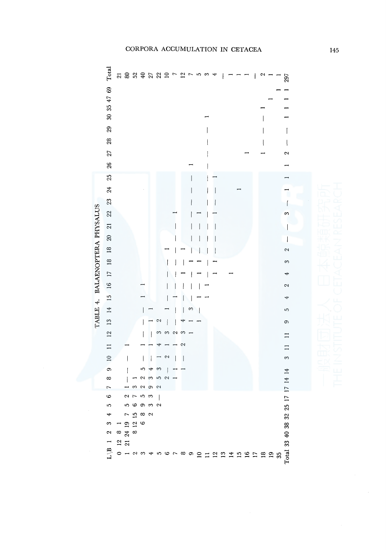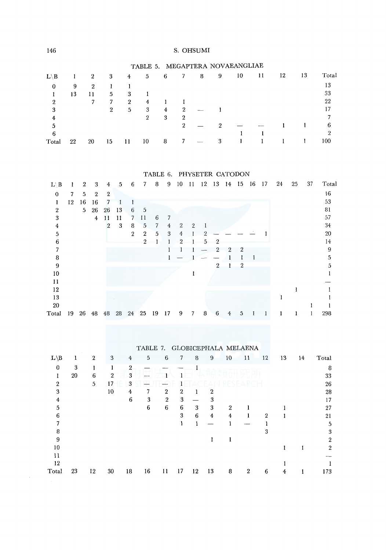|                 |    |              |              |   |    |   |   |   |   | TABLE 5. MEGAPTERA NOVAEANGLIAE |    |    |    |       |
|-----------------|----|--------------|--------------|---|----|---|---|---|---|---------------------------------|----|----|----|-------|
| $L \setminus B$ |    | $\mathbf{2}$ | 3            | 4 | 5  | 6 | 7 | 8 | 9 | 10                              | 11 | 12 | 13 | Total |
| 0               | 9  | 2            |              |   |    |   |   |   |   |                                 |    |    |    | 13    |
|                 | 13 | 11           | 5            | 3 |    |   |   |   |   |                                 |    |    |    | 33    |
| 2               |    |              | 7            | 2 | 4  |   |   |   |   |                                 |    |    |    | 22    |
| 3               |    |              | $\mathbf{2}$ | 5 | 3  | 4 | 2 |   |   |                                 |    |    |    | 17    |
|                 |    |              |              |   | 2  | 3 | 2 |   |   |                                 |    |    |    |       |
|                 |    |              |              |   |    |   | 2 |   |   |                                 |    |    |    | 6     |
| 6               |    |              |              |   |    |   |   |   |   |                                 |    |    |    | 2     |
| Total           | 22 | 20           | 15           | П | 10 | 8 |   |   | 3 |                                 |    |    |    | 100   |

TABLE 6. PHYSETER CATODON

| $L \backslash B$ | ı  | $\overline{2}$ | 3              | 4              | 5  | 6              | 7              | 8  | 9              | 10             | 11             | 12 | 13             | 14 | -15            | 16 | 17 | 24 | 25 | 37 | Total |
|------------------|----|----------------|----------------|----------------|----|----------------|----------------|----|----------------|----------------|----------------|----|----------------|----|----------------|----|----|----|----|----|-------|
| $\mathbf 0$      | 7  | 5              | $\mathbf{2}$   | $\mathbf{2}$   |    |                |                |    |                |                |                |    |                |    |                |    |    |    |    |    | 16    |
| 1                | 12 | 16             | 16             |                |    |                |                |    |                |                |                |    |                |    |                |    |    |    |    |    | 53    |
| $\overline{2}$   |    | 5 <sub>1</sub> | 26             | 26             | 13 | 6              | 5              |    |                |                |                |    |                |    |                |    |    |    |    |    | 81    |
| 3                |    |                | $\overline{4}$ | 11             | 11 | 7              | 11             | 6  |                |                |                |    |                |    |                |    |    |    |    |    | 57    |
| 4                |    |                |                | $\overline{2}$ | 3  | 8              | 5              | 7  | $\overline{4}$ | 2              | $\overline{2}$ |    |                |    |                |    |    |    |    |    | 34    |
| 5                |    |                |                |                |    | $\overline{2}$ | $\mathbf{2}$   | 5  | 3              | $\overline{4}$ |                | 2  |                |    |                |    |    |    |    |    | 20    |
| 6                |    |                |                |                |    |                | $\overline{2}$ |    |                | 2              |                | 5  | $\mathbf{2}$   |    |                |    |    |    |    |    | 14    |
| 7                |    |                |                |                |    |                |                |    |                |                |                |    | $\overline{2}$ | 2  | 2              |    |    |    |    |    | 9     |
| 8                |    |                |                |                |    |                |                |    |                |                |                |    |                |    |                |    |    |    |    |    | 5     |
| 9                |    |                |                |                |    |                |                |    |                |                |                |    | 2              |    | $\overline{2}$ |    |    |    |    |    | 5     |
| 10               |    |                |                |                |    |                |                |    |                |                |                |    |                |    |                |    |    |    |    |    |       |
| $\mathbf{11}$    |    |                |                |                |    |                |                |    |                |                |                |    |                |    |                |    |    |    |    |    |       |
| 12               |    |                |                |                |    |                |                |    |                |                |                |    |                |    |                |    |    |    |    |    |       |
| 13               |    |                |                |                |    |                |                |    |                |                |                |    |                |    |                |    |    |    |    |    |       |
| 20               |    |                |                |                |    |                |                |    |                |                |                |    |                |    |                |    |    |    |    |    |       |
| Total            | 19 | 26             | 48             | 48             | 28 | 24             | 25             | 19 | 17             | 9              | 7              | 8  | 6              | 4  | 5              |    |    |    |    |    | 298   |

|  |  | TABLE 7. GLOBICEPHALA MELAENA |  |
|--|--|-------------------------------|--|
|--|--|-------------------------------|--|

| $L \backslash B$ |    | $\mathbf 2$ | 3            | $\ddagger$ | 5  | 6              | 7                | 8  | 9              | 10             | 11 | 12 | 13 | 14 | Total |
|------------------|----|-------------|--------------|------------|----|----------------|------------------|----|----------------|----------------|----|----|----|----|-------|
| $\bf{0}$         | 3  |             |              | 2          |    |                |                  |    |                |                |    |    |    |    | 8     |
| ı                | 20 | 6           | $\mathbf{2}$ | 3          |    |                |                  |    |                |                |    |    |    |    | 33    |
| $\mathbf{2}$     |    | 5           | 17           | 3          |    |                |                  |    |                |                |    |    |    |    | 26    |
| 3                |    |             | 10           | 4          |    | $\mathbf{2}$   | $\boldsymbol{2}$ |    | 2              |                |    |    |    |    | 28    |
| 4                |    |             |              | 6          | 3  | $\overline{2}$ | 3                |    | 3              |                |    |    |    |    | 17    |
| 5                |    |             |              |            | 6  | 6              | 6                | 3  | 3              | $\overline{2}$ |    |    |    |    | 27    |
| 6                |    |             |              |            |    |                | 3                | 6  | $\overline{4}$ | 4              |    | 2  |    |    | 21    |
| 7                |    |             |              |            |    |                |                  |    |                |                |    |    |    |    | 5     |
| 8                |    |             |              |            |    |                |                  |    |                |                |    | 3  |    |    | 3     |
| 9                |    |             |              |            |    |                |                  |    |                |                |    |    |    |    | 2     |
| 10               |    |             |              |            |    |                |                  |    |                |                |    |    |    |    | 2     |
| 11               |    |             |              |            |    |                |                  |    |                |                |    |    |    |    |       |
| 12               |    |             |              |            |    |                |                  |    |                |                |    |    |    |    |       |
| Total            | 23 | 12          | 30           | 18         | 16 | 11             | 17               | 12 | 13             | 8              | 2  | 6  |    |    | 173   |

 $\Delta \sim 10^{11}$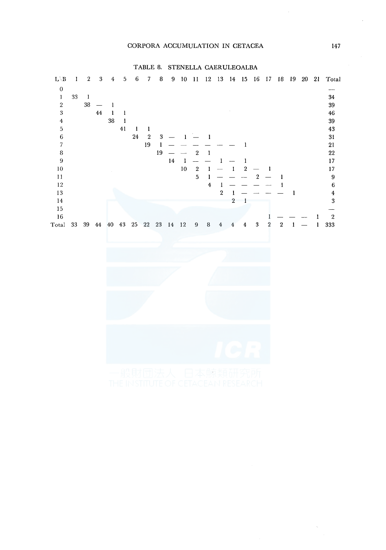#### TABLE 8. STENELLA CAERULEOALBA

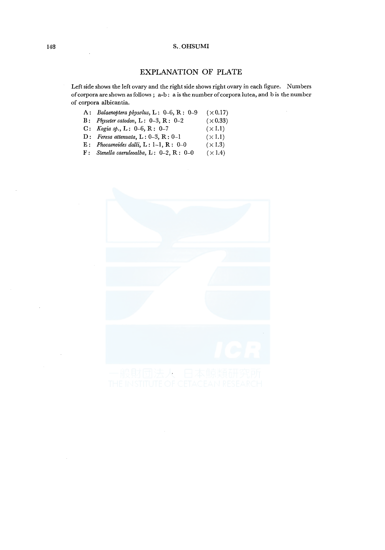## EXPLANATION OF PLATE

Left side shows the left ovary and the right side shows right ovary in each figure. Numbers of corpora are shown as follows ; a-b : a is the number of corpora lutea, and bis the number of corpora albicantia.

 $(\times 1.1)$ 

- A: *Balaenoptera physolus,* L: 0-6, R : 0-9  $(\times 0.17)$
- B : *Physeter catodon,* L : 0-3, R : 0-2  $(\times 0.33)$  $(\times 1.1)$
- C: *Kogia sp.,* L: 0-6, R: 0-7
- D: *Feresa attenuata,* L: 0-3, R: 0-1
- E: *Phocaenoides dalli,* L: 1-1, R: 0-0  $(\times 1.3)$
- F: *Stenella caeruleoalba,* L: 0-2, R: 0-0  $(\times 1.4)$